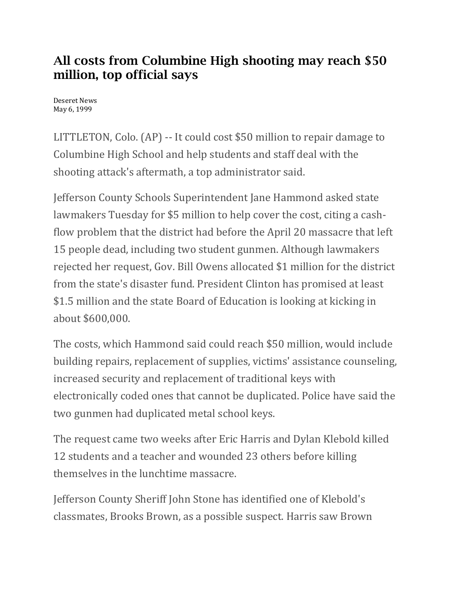## All costs from Columbine High shooting may reach \$50 million, top official says

Deseret News May 6, 1999

LITTLETON, Colo. (AP) -- It could cost \$50 million to repair damage to Columbine High School and help students and staff deal with the shooting attack's aftermath, a top administrator said.

Jefferson County Schools Superintendent Jane Hammond asked state lawmakers Tuesday for \$5 million to help cover the cost, citing a cashflow problem that the district had before the April 20 massacre that left 15 people dead, including two student gunmen. Although lawmakers rejected her request, Gov. Bill Owens allocated \$1 million for the district from the state's disaster fund. President Clinton has promised at least \$1.5 million and the state Board of Education is looking at kicking in about \$600,000.

The costs, which Hammond said could reach \$50 million, would include building repairs, replacement of supplies, victims' assistance counseling, increased security and replacement of traditional keys with electronically coded ones that cannot be duplicated. Police have said the two gunmen had duplicated metal school keys.

The request came two weeks after Eric Harris and Dylan Klebold killed 12 students and a teacher and wounded 23 others before killing themselves in the lunchtime massacre.

Jefferson County Sheriff John Stone has identified one of Klebold's classmates, Brooks Brown, as a possible suspect. Harris saw Brown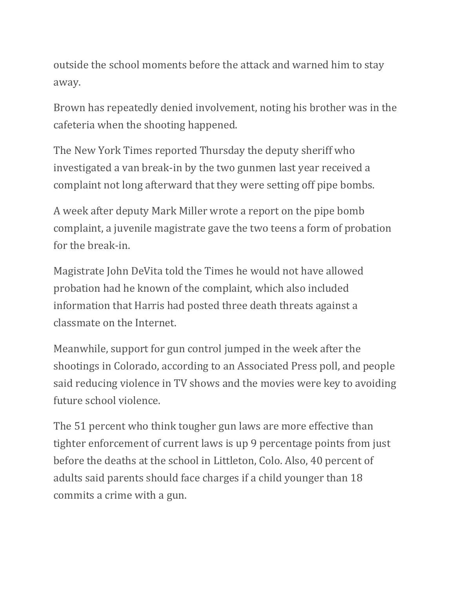outside the school moments before the attack and warned him to stay away.

Brown has repeatedly denied involvement, noting his brother was in the cafeteria when the shooting happened.

The New York Times reported Thursday the deputy sheriff who investigated a van break-in by the two gunmen last year received a complaint not long afterward that they were setting off pipe bombs.

A week after deputy Mark Miller wrote a report on the pipe bomb complaint, a juvenile magistrate gave the two teens a form of probation for the break-in.

Magistrate John DeVita told the Times he would not have allowed probation had he known of the complaint, which also included information that Harris had posted three death threats against a classmate on the Internet.

Meanwhile, support for gun control jumped in the week after the shootings in Colorado, according to an Associated Press poll, and people said reducing violence in TV shows and the movies were key to avoiding future school violence.

The 51 percent who think tougher gun laws are more effective than tighter enforcement of current laws is up 9 percentage points from just before the deaths at the school in Littleton, Colo. Also, 40 percent of adults said parents should face charges if a child younger than 18 commits a crime with a gun.